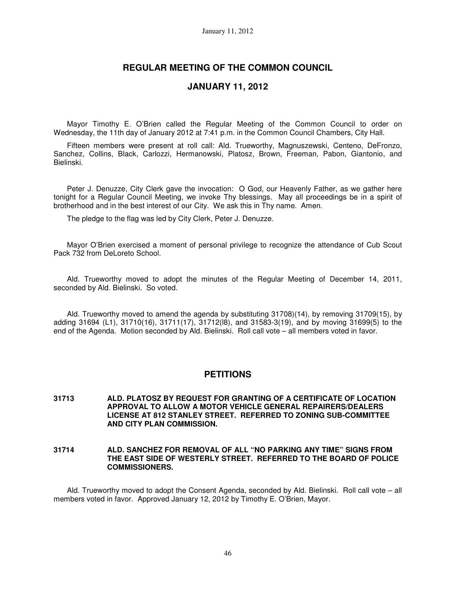## **REGULAR MEETING OF THE COMMON COUNCIL**

## **JANUARY 11, 2012**

Mayor Timothy E. O'Brien called the Regular Meeting of the Common Council to order on Wednesday, the 11th day of January 2012 at 7:41 p.m. in the Common Council Chambers, City Hall.

Fifteen members were present at roll call: Ald. Trueworthy, Magnuszewski, Centeno, DeFronzo, Sanchez, Collins, Black, Carlozzi, Hermanowski, Platosz, Brown, Freeman, Pabon, Giantonio, and Bielinski.

Peter J. Denuzze, City Clerk gave the invocation: O God, our Heavenly Father, as we gather here tonight for a Regular Council Meeting, we invoke Thy blessings. May all proceedings be in a spirit of brotherhood and in the best interest of our City. We ask this in Thy name. Amen.

The pledge to the flag was led by City Clerk, Peter J. Denuzze.

Mayor O'Brien exercised a moment of personal privilege to recognize the attendance of Cub Scout Pack 732 from DeLoreto School.

Ald. Trueworthy moved to adopt the minutes of the Regular Meeting of December 14, 2011, seconded by Ald. Bielinski. So voted.

Ald. Trueworthy moved to amend the agenda by substituting 31708)(14), by removing 31709(15), by adding 31694 (L1), 31710(16), 31711(17), 31712(l8), and 31583-3(19), and by moving 31699(5) to the end of the Agenda. Motion seconded by Ald. Bielinski. Roll call vote – all members voted in favor.

## **PETITIONS**

- **31713 ALD. PLATOSZ BY REQUEST FOR GRANTING OF A CERTIFICATE OF LOCATION APPROVAL TO ALLOW A MOTOR VEHICLE GENERAL REPAIRERS/DEALERS LICENSE AT 812 STANLEY STREET. REFERRED TO ZONING SUB-COMMITTEE AND CITY PLAN COMMISSION.**
- **31714 ALD. SANCHEZ FOR REMOVAL OF ALL "NO PARKING ANY TIME" SIGNS FROM THE EAST SIDE OF WESTERLY STREET. REFERRED TO THE BOARD OF POLICE COMMISSIONERS.**

Ald. Trueworthy moved to adopt the Consent Agenda, seconded by Ald. Bielinski. Roll call vote – all members voted in favor. Approved January 12, 2012 by Timothy E. O'Brien, Mayor.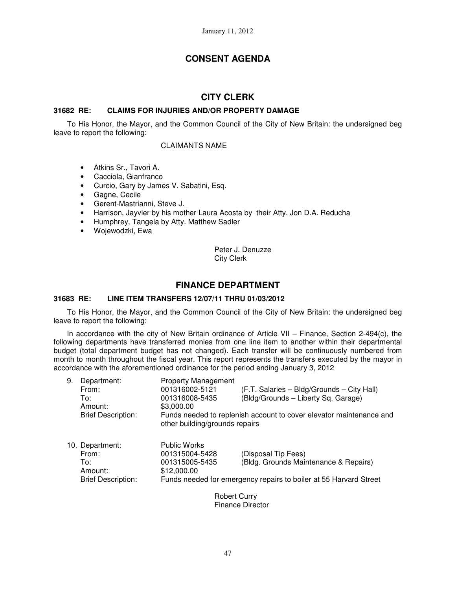# **CONSENT AGENDA**

# **CITY CLERK**

## **31682 RE: CLAIMS FOR INJURIES AND/OR PROPERTY DAMAGE**

To His Honor, the Mayor, and the Common Council of the City of New Britain: the undersigned beg leave to report the following:

#### CLAIMANTS NAME

- Atkins Sr., Tavori A.
- Cacciola, Gianfranco
- Curcio, Gary by James V. Sabatini, Esq.
- Gagne, Cecile
- Gerent-Mastrianni, Steve J.
- Harrison, Jayvier by his mother Laura Acosta by their Atty. Jon D.A. Reducha
- Humphrey, Tangela by Atty. Matthew Sadler
- Wojewodzki, Ewa

Peter J. Denuzze City Clerk

## **FINANCE DEPARTMENT**

## **31683 RE: LINE ITEM TRANSFERS 12/07/11 THRU 01/03/2012**

To His Honor, the Mayor, and the Common Council of the City of New Britain: the undersigned beg leave to report the following:

In accordance with the city of New Britain ordinance of Article VII – Finance, Section 2-494(c), the following departments have transferred monies from one line item to another within their departmental budget (total department budget has not changed). Each transfer will be continuously numbered from month to month throughout the fiscal year. This report represents the transfers executed by the mayor in accordance with the aforementioned ordinance for the period ending January 3, 2012

| 9. | Department:               | <b>Property Management</b>     |                                                                     |
|----|---------------------------|--------------------------------|---------------------------------------------------------------------|
|    | From:                     | 001316002-5121                 | (F.T. Salaries - Bldg/Grounds - City Hall)                          |
|    | To:                       | 001316008-5435                 | (Bldg/Grounds - Liberty Sq. Garage)                                 |
|    | Amount:                   | \$3,000.00                     |                                                                     |
|    | <b>Brief Description:</b> | other building/grounds repairs | Funds needed to replenish account to cover elevator maintenance and |
|    | 10. Department:           | <b>Public Works</b>            |                                                                     |
|    | From:                     | 001315004-5428                 | (Disposal Tip Fees)                                                 |
|    | To:                       | 001315005-5435                 | (Bldg. Grounds Maintenance & Repairs)                               |
|    | Amount:                   | \$12,000.00                    |                                                                     |
|    | <b>Brief Description:</b> |                                | Funds needed for emergency repairs to boiler at 55 Harvard Street   |

Robert Curry Finance Director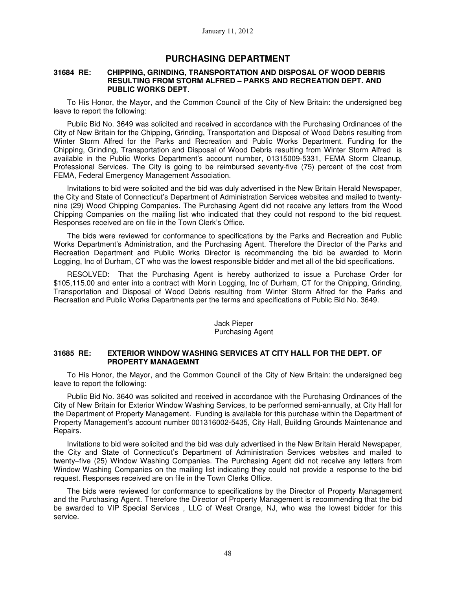## **PURCHASING DEPARTMENT**

#### **31684 RE: CHIPPING, GRINDING, TRANSPORTATION AND DISPOSAL OF WOOD DEBRIS RESULTING FROM STORM ALFRED – PARKS AND RECREATION DEPT. AND PUBLIC WORKS DEPT.**

To His Honor, the Mayor, and the Common Council of the City of New Britain: the undersigned beg leave to report the following:

Public Bid No. 3649 was solicited and received in accordance with the Purchasing Ordinances of the City of New Britain for the Chipping, Grinding, Transportation and Disposal of Wood Debris resulting from Winter Storm Alfred for the Parks and Recreation and Public Works Department. Funding for the Chipping, Grinding, Transportation and Disposal of Wood Debris resulting from Winter Storm Alfred is available in the Public Works Department's account number, 01315009-5331, FEMA Storm Cleanup, Professional Services. The City is going to be reimbursed seventy-five (75) percent of the cost from FEMA, Federal Emergency Management Association.

Invitations to bid were solicited and the bid was duly advertised in the New Britain Herald Newspaper, the City and State of Connecticut's Department of Administration Services websites and mailed to twentynine (29) Wood Chipping Companies. The Purchasing Agent did not receive any letters from the Wood Chipping Companies on the mailing list who indicated that they could not respond to the bid request. Responses received are on file in the Town Clerk's Office.

The bids were reviewed for conformance to specifications by the Parks and Recreation and Public Works Department's Administration, and the Purchasing Agent. Therefore the Director of the Parks and Recreation Department and Public Works Director is recommending the bid be awarded to Morin Logging, Inc of Durham, CT who was the lowest responsible bidder and met all of the bid specifications.

RESOLVED: That the Purchasing Agent is hereby authorized to issue a Purchase Order for \$105,115.00 and enter into a contract with Morin Logging, Inc of Durham, CT for the Chipping, Grinding, Transportation and Disposal of Wood Debris resulting from Winter Storm Alfred for the Parks and Recreation and Public Works Departments per the terms and specifications of Public Bid No. 3649.

#### Jack Pieper Purchasing Agent

## **31685 RE: EXTERIOR WINDOW WASHING SERVICES AT CITY HALL FOR THE DEPT. OF PROPERTY MANAGEMNT**

To His Honor, the Mayor, and the Common Council of the City of New Britain: the undersigned beg leave to report the following:

Public Bid No. 3640 was solicited and received in accordance with the Purchasing Ordinances of the City of New Britain for Exterior Window Washing Services, to be performed semi-annually, at City Hall for the Department of Property Management. Funding is available for this purchase within the Department of Property Management's account number 001316002-5435, City Hall, Building Grounds Maintenance and Repairs.

Invitations to bid were solicited and the bid was duly advertised in the New Britain Herald Newspaper, the City and State of Connecticut's Department of Administration Services websites and mailed to twenty–five (25) Window Washing Companies. The Purchasing Agent did not receive any letters from Window Washing Companies on the mailing list indicating they could not provide a response to the bid request. Responses received are on file in the Town Clerks Office.

The bids were reviewed for conformance to specifications by the Director of Property Management and the Purchasing Agent. Therefore the Director of Property Management is recommending that the bid be awarded to VIP Special Services , LLC of West Orange, NJ, who was the lowest bidder for this service.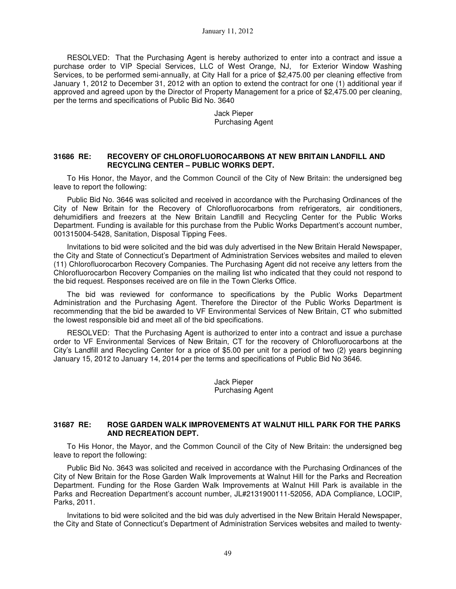RESOLVED: That the Purchasing Agent is hereby authorized to enter into a contract and issue a purchase order to VIP Special Services, LLC of West Orange, NJ, for Exterior Window Washing Services, to be performed semi-annually, at City Hall for a price of \$2,475.00 per cleaning effective from January 1, 2012 to December 31, 2012 with an option to extend the contract for one (1) additional year if approved and agreed upon by the Director of Property Management for a price of \$2,475.00 per cleaning, per the terms and specifications of Public Bid No. 3640

> Jack Pieper Purchasing Agent

### **31686 RE: RECOVERY OF CHLOROFLUOROCARBONS AT NEW BRITAIN LANDFILL AND RECYCLING CENTER – PUBLIC WORKS DEPT.**

To His Honor, the Mayor, and the Common Council of the City of New Britain: the undersigned beg leave to report the following:

Public Bid No. 3646 was solicited and received in accordance with the Purchasing Ordinances of the City of New Britain for the Recovery of Chlorofluorocarbons from refrigerators, air conditioners, dehumidifiers and freezers at the New Britain Landfill and Recycling Center for the Public Works Department. Funding is available for this purchase from the Public Works Department's account number, 001315004-5428, Sanitation, Disposal Tipping Fees.

Invitations to bid were solicited and the bid was duly advertised in the New Britain Herald Newspaper, the City and State of Connecticut's Department of Administration Services websites and mailed to eleven (11) Chlorofluorocarbon Recovery Companies. The Purchasing Agent did not receive any letters from the Chlorofluorocarbon Recovery Companies on the mailing list who indicated that they could not respond to the bid request. Responses received are on file in the Town Clerks Office.

The bid was reviewed for conformance to specifications by the Public Works Department Administration and the Purchasing Agent. Therefore the Director of the Public Works Department is recommending that the bid be awarded to VF Environmental Services of New Britain, CT who submitted the lowest responsible bid and meet all of the bid specifications.

RESOLVED: That the Purchasing Agent is authorized to enter into a contract and issue a purchase order to VF Environmental Services of New Britain, CT for the recovery of Chlorofluorocarbons at the City's Landfill and Recycling Center for a price of \$5.00 per unit for a period of two (2) years beginning January 15, 2012 to January 14, 2014 per the terms and specifications of Public Bid No 3646.

> Jack Pieper Purchasing Agent

#### **31687 RE: ROSE GARDEN WALK IMPROVEMENTS AT WALNUT HILL PARK FOR THE PARKS AND RECREATION DEPT.**

To His Honor, the Mayor, and the Common Council of the City of New Britain: the undersigned beg leave to report the following:

Public Bid No. 3643 was solicited and received in accordance with the Purchasing Ordinances of the City of New Britain for the Rose Garden Walk Improvements at Walnut Hill for the Parks and Recreation Department. Funding for the Rose Garden Walk Improvements at Walnut Hill Park is available in the Parks and Recreation Department's account number, JL#2131900111-52056, ADA Compliance, LOCIP, Parks, 2011.

Invitations to bid were solicited and the bid was duly advertised in the New Britain Herald Newspaper, the City and State of Connecticut's Department of Administration Services websites and mailed to twenty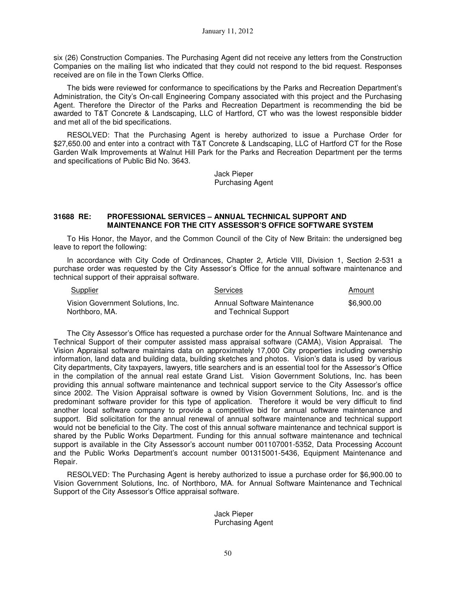six (26) Construction Companies. The Purchasing Agent did not receive any letters from the Construction Companies on the mailing list who indicated that they could not respond to the bid request. Responses received are on file in the Town Clerks Office.

The bids were reviewed for conformance to specifications by the Parks and Recreation Department's Administration, the City's On-call Engineering Company associated with this project and the Purchasing Agent. Therefore the Director of the Parks and Recreation Department is recommending the bid be awarded to T&T Concrete & Landscaping, LLC of Hartford, CT who was the lowest responsible bidder and met all of the bid specifications.

RESOLVED: That the Purchasing Agent is hereby authorized to issue a Purchase Order for \$27,650.00 and enter into a contract with T&T Concrete & Landscaping, LLC of Hartford CT for the Rose Garden Walk Improvements at Walnut Hill Park for the Parks and Recreation Department per the terms and specifications of Public Bid No. 3643.

> Jack Pieper Purchasing Agent

## **31688 RE: PROFESSIONAL SERVICES – ANNUAL TECHNICAL SUPPORT AND MAINTENANCE FOR THE CITY ASSESSOR'S OFFICE SOFTWARE SYSTEM**

To His Honor, the Mayor, and the Common Council of the City of New Britain: the undersigned beg leave to report the following:

In accordance with City Code of Ordinances, Chapter 2, Article VIII, Division 1, Section 2-531 a purchase order was requested by the City Assessor's Office for the annual software maintenance and technical support of their appraisal software.

| Supplier                                            | Services                                             | Amount     |
|-----------------------------------------------------|------------------------------------------------------|------------|
| Vision Government Solutions, Inc.<br>Northboro, MA. | Annual Software Maintenance<br>and Technical Support | \$6,900.00 |

The City Assessor's Office has requested a purchase order for the Annual Software Maintenance and Technical Support of their computer assisted mass appraisal software (CAMA), Vision Appraisal. The Vision Appraisal software maintains data on approximately 17,000 City properties including ownership information, land data and building data, building sketches and photos. Vision's data is used by various City departments, City taxpayers, lawyers, title searchers and is an essential tool for the Assessor's Office in the compilation of the annual real estate Grand List. Vision Government Solutions, Inc. has been providing this annual software maintenance and technical support service to the City Assessor's office since 2002. The Vision Appraisal software is owned by Vision Government Solutions, Inc. and is the predominant software provider for this type of application. Therefore it would be very difficult to find another local software company to provide a competitive bid for annual software maintenance and support. Bid solicitation for the annual renewal of annual software maintenance and technical support would not be beneficial to the City. The cost of this annual software maintenance and technical support is shared by the Public Works Department. Funding for this annual software maintenance and technical support is available in the City Assessor's account number 001107001-5352, Data Processing Account and the Public Works Department's account number 001315001-5436, Equipment Maintenance and Repair.

RESOLVED: The Purchasing Agent is hereby authorized to issue a purchase order for \$6,900.00 to Vision Government Solutions, Inc. of Northboro, MA. for Annual Software Maintenance and Technical Support of the City Assessor's Office appraisal software.

> Jack Pieper Purchasing Agent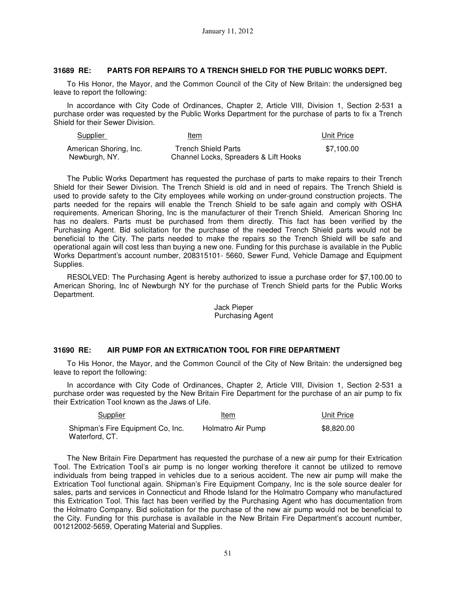## **31689 RE: PARTS FOR REPAIRS TO A TRENCH SHIELD FOR THE PUBLIC WORKS DEPT.**

To His Honor, the Mayor, and the Common Council of the City of New Britain: the undersigned beg leave to report the following:

In accordance with City Code of Ordinances, Chapter 2, Article VIII, Division 1, Section 2-531 a purchase order was requested by the Public Works Department for the purchase of parts to fix a Trench Shield for their Sewer Division.

| <b>Supplier</b>        | Item                                  | Unit Price |
|------------------------|---------------------------------------|------------|
| American Shoring, Inc. | Trench Shield Parts                   | \$7.100.00 |
| Newburgh, NY.          | Channel Locks, Spreaders & Lift Hooks |            |

The Public Works Department has requested the purchase of parts to make repairs to their Trench Shield for their Sewer Division. The Trench Shield is old and in need of repairs. The Trench Shield is used to provide safety to the City employees while working on under-ground construction projects. The parts needed for the repairs will enable the Trench Shield to be safe again and comply with OSHA requirements. American Shoring, Inc is the manufacturer of their Trench Shield. American Shoring Inc has no dealers. Parts must be purchased from them directly. This fact has been verified by the Purchasing Agent. Bid solicitation for the purchase of the needed Trench Shield parts would not be beneficial to the City. The parts needed to make the repairs so the Trench Shield will be safe and operational again will cost less than buying a new one. Funding for this purchase is available in the Public Works Department's account number, 208315101- 5660, Sewer Fund, Vehicle Damage and Equipment Supplies.

RESOLVED: The Purchasing Agent is hereby authorized to issue a purchase order for \$7,100.00 to American Shoring, Inc of Newburgh NY for the purchase of Trench Shield parts for the Public Works Department.

#### Jack Pieper Purchasing Agent

#### **31690 RE: AIR PUMP FOR AN EXTRICATION TOOL FOR FIRE DEPARTMENT**

To His Honor, the Mayor, and the Common Council of the City of New Britain: the undersigned beg leave to report the following:

In accordance with City Code of Ordinances, Chapter 2, Article VIII, Division 1, Section 2-531 a purchase order was requested by the New Britain Fire Department for the purchase of an air pump to fix their Extrication Tool known as the Jaws of Life.

| Supplier                                            | Item              | Unit Price |
|-----------------------------------------------------|-------------------|------------|
| Shipman's Fire Equipment Co, Inc.<br>Waterford, CT. | Holmatro Air Pump | \$8.820.00 |

The New Britain Fire Department has requested the purchase of a new air pump for their Extrication Tool. The Extrication Tool's air pump is no longer working therefore it cannot be utilized to remove individuals from being trapped in vehicles due to a serious accident. The new air pump will make the Extrication Tool functional again. Shipman's Fire Equipment Company, Inc is the sole source dealer for sales, parts and services in Connecticut and Rhode Island for the Holmatro Company who manufactured this Extrication Tool. This fact has been verified by the Purchasing Agent who has documentation from the Holmatro Company. Bid solicitation for the purchase of the new air pump would not be beneficial to the City. Funding for this purchase is available in the New Britain Fire Department's account number, 001212002-5659, Operating Material and Supplies.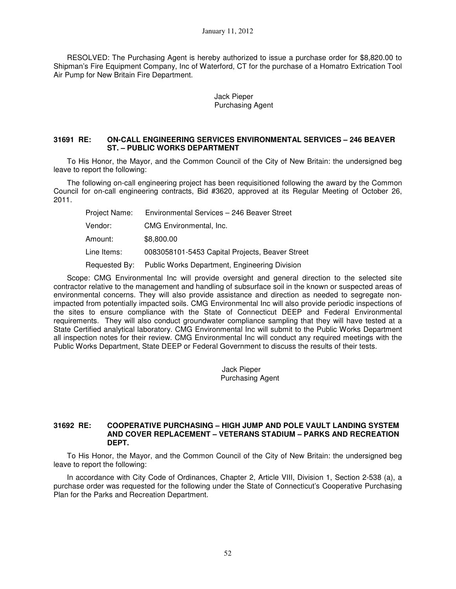RESOLVED: The Purchasing Agent is hereby authorized to issue a purchase order for \$8,820.00 to Shipman's Fire Equipment Company, Inc of Waterford, CT for the purchase of a Homatro Extrication Tool Air Pump for New Britain Fire Department.

### Jack Pieper Purchasing Agent

## **31691 RE: ON-CALL ENGINEERING SERVICES ENVIRONMENTAL SERVICES – 246 BEAVER ST. – PUBLIC WORKS DEPARTMENT**

To His Honor, the Mayor, and the Common Council of the City of New Britain: the undersigned beg leave to report the following:

The following on-call engineering project has been requisitioned following the award by the Common Council for on-call engineering contracts, Bid #3620, approved at its Regular Meeting of October 26, 2011.

| Project Name: | Environmental Services - 246 Beaver Street      |
|---------------|-------------------------------------------------|
| Vendor:       | CMG Environmental, Inc.                         |
| Amount:       | \$8,800.00                                      |
| Line Items:   | 0083058101-5453 Capital Projects, Beaver Street |
| Requested By: | Public Works Department, Engineering Division   |

Scope: CMG Environmental Inc will provide oversight and general direction to the selected site contractor relative to the management and handling of subsurface soil in the known or suspected areas of environmental concerns. They will also provide assistance and direction as needed to segregate nonimpacted from potentially impacted soils. CMG Environmental Inc will also provide periodic inspections of the sites to ensure compliance with the State of Connecticut DEEP and Federal Environmental requirements. They will also conduct groundwater compliance sampling that they will have tested at a State Certified analytical laboratory. CMG Environmental Inc will submit to the Public Works Department all inspection notes for their review. CMG Environmental Inc will conduct any required meetings with the Public Works Department, State DEEP or Federal Government to discuss the results of their tests.

> Jack Pieper Purchasing Agent

#### **31692 RE: COOPERATIVE PURCHASING – HIGH JUMP AND POLE VAULT LANDING SYSTEM AND COVER REPLACEMENT – VETERANS STADIUM – PARKS AND RECREATION DEPT.**

To His Honor, the Mayor, and the Common Council of the City of New Britain: the undersigned beg leave to report the following:

In accordance with City Code of Ordinances, Chapter 2, Article VIII, Division 1, Section 2-538 (a), a purchase order was requested for the following under the State of Connecticut's Cooperative Purchasing Plan for the Parks and Recreation Department.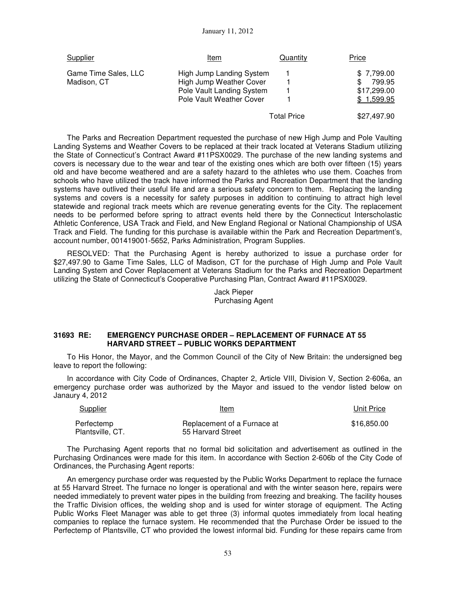| <b>Supplier</b>                     | Item                                                                                                         | <b>Quantity</b>    | <b>Price</b>                                            |
|-------------------------------------|--------------------------------------------------------------------------------------------------------------|--------------------|---------------------------------------------------------|
| Game Time Sales, LLC<br>Madison, CT | High Jump Landing System<br>High Jump Weather Cover<br>Pole Vault Landing System<br>Pole Vault Weather Cover |                    | \$7,799.00<br>799.95<br>S.<br>\$17,299.00<br>\$1,599.95 |
|                                     |                                                                                                              | <b>Total Price</b> | \$27.497.90                                             |

The Parks and Recreation Department requested the purchase of new High Jump and Pole Vaulting Landing Systems and Weather Covers to be replaced at their track located at Veterans Stadium utilizing the State of Connecticut's Contract Award #11PSX0029. The purchase of the new landing systems and covers is necessary due to the wear and tear of the existing ones which are both over fifteen (15) years old and have become weathered and are a safety hazard to the athletes who use them. Coaches from schools who have utilized the track have informed the Parks and Recreation Department that the landing systems have outlived their useful life and are a serious safety concern to them. Replacing the landing systems and covers is a necessity for safety purposes in addition to continuing to attract high level statewide and regional track meets which are revenue generating events for the City. The replacement needs to be performed before spring to attract events held there by the Connecticut Interscholastic Athletic Conference, USA Track and Field, and New England Regional or National Championship of USA Track and Field. The funding for this purchase is available within the Park and Recreation Department's, account number, 001419001-5652, Parks Administration, Program Supplies.

RESOLVED: That the Purchasing Agent is hereby authorized to issue a purchase order for \$27,497.90 to Game Time Sales, LLC of Madison, CT for the purchase of High Jump and Pole Vault Landing System and Cover Replacement at Veterans Stadium for the Parks and Recreation Department utilizing the State of Connecticut's Cooperative Purchasing Plan, Contract Award #11PSX0029.

> Jack Pieper Purchasing Agent

#### **31693 RE: EMERGENCY PURCHASE ORDER – REPLACEMENT OF FURNACE AT 55 HARVARD STREET – PUBLIC WORKS DEPARTMENT**

To His Honor, the Mayor, and the Common Council of the City of New Britain: the undersigned beg leave to report the following:

In accordance with City Code of Ordinances, Chapter 2, Article VIII, Division V, Section 2-606a, an emergency purchase order was authorized by the Mayor and issued to the vendor listed below on Janaury 4, 2012

| <b>Supplier</b>                | Item                                             | Unit Price  |
|--------------------------------|--------------------------------------------------|-------------|
| Perfectemp<br>Plantsville, CT. | Replacement of a Furnace at<br>55 Harvard Street | \$16,850,00 |

The Purchasing Agent reports that no formal bid solicitation and advertisement as outlined in the Purchasing Ordinances were made for this item. In accordance with Section 2-606b of the City Code of Ordinances, the Purchasing Agent reports:

An emergency purchase order was requested by the Public Works Department to replace the furnace at 55 Harvard Street. The furnace no longer is operational and with the winter season here, repairs were needed immediately to prevent water pipes in the building from freezing and breaking. The facility houses the Traffic Division offices, the welding shop and is used for winter storage of equipment. The Acting Public Works Fleet Manager was able to get three (3) informal quotes immediately from local heating companies to replace the furnace system. He recommended that the Purchase Order be issued to the Perfectemp of Plantsville, CT who provided the lowest informal bid. Funding for these repairs came from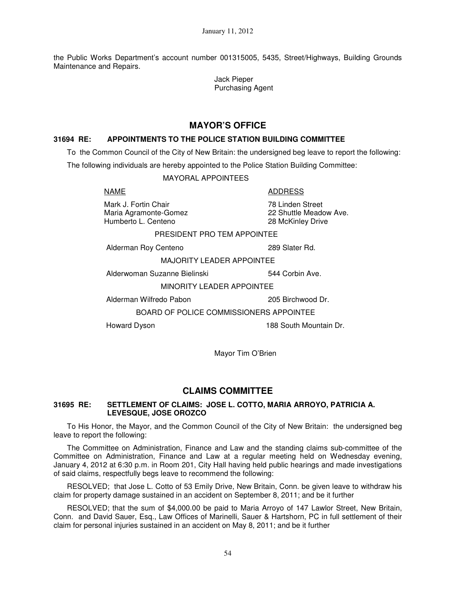the Public Works Department's account number 001315005, 5435, Street/Highways, Building Grounds Maintenance and Repairs.

> Jack Pieper Purchasing Agent

# **MAYOR'S OFFICE**

## **31694 RE: APPOINTMENTS TO THE POLICE STATION BUILDING COMMITTEE**

To the Common Council of the City of New Britain: the undersigned beg leave to report the following:

The following individuals are hereby appointed to the Police Station Building Committee:

MAYORAL APPOINTEES

Mark J. Fortin Chair **78 Linden Street** Maria Agramonte-Gomez 22 Shuttle Meadow Ave. Humberto L. Centeno 28 McKinley Drive

NAME ADDRESS

PRESIDENT PRO TEM APPOINTEE

Alderman Roy Centeno 289 Slater Rd.

MAJORITY LEADER APPOINTEE

Alderwoman Suzanne Bielinski 544 Corbin Ave.

MINORITY LEADER APPOINTEE

Alderman Wilfredo Pabon 205 Birchwood Dr.

BOARD OF POLICE COMMISSIONERS APPOINTEE

Howard Dyson 188 South Mountain Dr.

Mayor Tim O'Brien

## **CLAIMS COMMITTEE**

#### **31695 RE: SETTLEMENT OF CLAIMS: JOSE L. COTTO, MARIA ARROYO, PATRICIA A. LEVESQUE, JOSE OROZCO**

To His Honor, the Mayor, and the Common Council of the City of New Britain: the undersigned beg leave to report the following:

The Committee on Administration, Finance and Law and the standing claims sub-committee of the Committee on Administration, Finance and Law at a regular meeting held on Wednesday evening, January 4, 2012 at 6:30 p.m. in Room 201, City Hall having held public hearings and made investigations of said claims, respectfully begs leave to recommend the following:

RESOLVED; that Jose L. Cotto of 53 Emily Drive, New Britain, Conn. be given leave to withdraw his claim for property damage sustained in an accident on September 8, 2011; and be it further

RESOLVED; that the sum of \$4,000.00 be paid to Maria Arroyo of 147 Lawlor Street, New Britain, Conn. and David Sauer, Esq., Law Offices of Marinelli, Sauer & Hartshorn, PC in full settlement of their claim for personal injuries sustained in an accident on May 8, 2011; and be it further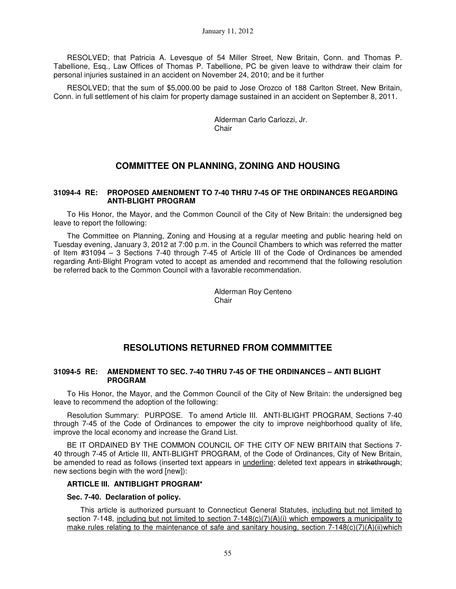RESOLVED; that Patricia A. Levesque of 54 Miller Street, New Britain, Conn. and Thomas P. Tabellione, Esq., Law Offices of Thomas P. Tabellione, PC be given leave to withdraw their claim for personal injuries sustained in an accident on November 24, 2010; and be it further

RESOLVED; that the sum of \$5,000.00 be paid to Jose Orozco of 188 Carlton Street, New Britain, Conn. in full settlement of his claim for property damage sustained in an accident on September 8, 2011.

> Alderman Carlo Carlozzi, Jr. **Chair**

# **COMMITTEE ON PLANNING, ZONING AND HOUSING**

#### **31094-4 RE: PROPOSED AMENDMENT TO 7-40 THRU 7-45 OF THE ORDINANCES REGARDING ANTI-BLIGHT PROGRAM**

To His Honor, the Mayor, and the Common Council of the City of New Britain: the undersigned beg leave to report the following:

The Committee on Planning, Zoning and Housing at a regular meeting and public hearing held on Tuesday evening, January 3, 2012 at 7:00 p.m. in the Council Chambers to which was referred the matter of Item #31094 – 3 Sections 7-40 through 7-45 of Article III of the Code of Ordinances be amended regarding Anti-Blight Program voted to accept as amended and recommend that the following resolution be referred back to the Common Council with a favorable recommendation.

> Alderman Roy Centeno **Chair**

# **RESOLUTIONS RETURNED FROM COMMMITTEE**

## **31094-5 RE: AMENDMENT TO SEC. 7-40 THRU 7-45 OF THE ORDINANCES – ANTI BLIGHT PROGRAM**

To His Honor, the Mayor, and the Common Council of the City of New Britain: the undersigned beg leave to recommend the adoption of the following:

Resolution Summary: PURPOSE. To amend Article III. ANTI-BLIGHT PROGRAM, Sections 7-40 through 7-45 of the Code of Ordinances to empower the city to improve neighborhood quality of life, improve the local economy and increase the Grand List.

BE IT ORDAINED BY THE COMMON COUNCIL OF THE CITY OF NEW BRITAIN that Sections 7- 40 through 7-45 of Article III, ANTI-BLIGHT PROGRAM, of the Code of Ordinances, City of New Britain, be amended to read as follows (inserted text appears in *underline*; deleted text appears in strikethrough; new sections begin with the word [new]):

#### **ARTICLE III. ANTIBLIGHT PROGRAM\***

#### **Sec. 7-40. Declaration of policy.**

 This article is authorized pursuant to Connecticut General Statutes, including but not limited to section 7-148, including but not limited to section  $7-148(c)(7)(A)(i)$  which empowers a municipality to make rules relating to the maintenance of safe and sanitary housing, section 7-148(c)(7)(A)(ii)which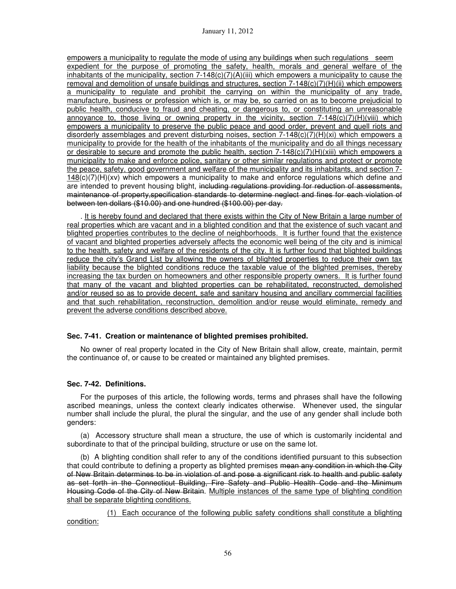empowers a municipality to regulate the mode of using any buildings when such regulations seem expedient for the purpose of promoting the safety, health, morals and general welfare of the inhabitants of the municipality, section 7-148(c)(7)(A)(iii) which empowers a municipality to cause the removal and demolition of unsafe buildings and structures, section 7-148(c)(7)(H)(ii) which empowers a municipality to regulate and prohibit the carrying on within the municipality of any trade, manufacture, business or profession which is, or may be, so carried on as to become prejudicial to public health, conducive to fraud and cheating, or dangerous to, or constituting an unreasonable annoyance to, those living or owning property in the vicinity, section  $7-148(c)(7)(H)(Viii)$  which empowers a municipality to preserve the public peace and good order, prevent and quell riots and disorderly assemblages and prevent disturbing noises, section 7-148(c)(7)(H)(xi) which empowers a municipality to provide for the health of the inhabitants of the municipality and do all things necessary or desirable to secure and promote the public health, section  $7-148(c)(7)(H)(xiii)$  which empowers a municipality to make and enforce police, sanitary or other similar regulations and protect or promote the peace, safety, good government and welfare of the municipality and its inhabitants, and section 7- 148(c)(7)(H)(xv) which empowers a municipality to make and enforce regulations which define and are intended to prevent housing blight, including regulations providing for reduction of assessments, maintenance of property,specification standards to determine neglect and fines for each violation of between ten dollars (\$10.00) and one hundred (\$100.00) per day.

. It is hereby found and declared that there exists within the City of New Britain a large number of real properties which are vacant and in a blighted condition and that the existence of such vacant and blighted properties contributes to the decline of neighborhoods. It is further found that the existence of vacant and blighted properties adversely affects the economic well being of the city and is inimical to the health, safety and welfare of the residents of the city. It is further found that blighted buildings reduce the city's Grand List by allowing the owners of blighted properties to reduce their own tax liability because the blighted conditions reduce the taxable value of the blighted premises, thereby increasing the tax burden on homeowners and other responsible property owners. It is further found that many of the vacant and blighted properties can be rehabilitated, reconstructed, demolished and/or reused so as to provide decent, safe and sanitary housing and ancillary commercial facilities and that such rehabilitation, reconstruction, demolition and/or reuse would eliminate, remedy and prevent the adverse conditions described above.

## **Sec. 7-41. Creation or maintenance of blighted premises prohibited.**

 No owner of real property located in the City of New Britain shall allow, create, maintain, permit the continuance of, or cause to be created or maintained any blighted premises.

#### **Sec. 7-42. Definitions.**

 For the purposes of this article, the following words, terms and phrases shall have the following ascribed meanings, unless the context clearly indicates otherwise. Whenever used, the singular number shall include the plural, the plural the singular, and the use of any gender shall include both genders:

 (a) Accessory structure shall mean a structure, the use of which is customarily incidental and subordinate to that of the principal building, structure or use on the same lot.

 (b) A blighting condition shall refer to any of the conditions identified pursuant to this subsection that could contribute to defining a property as blighted premises mean any condition in which the City of New Britain determines to be in violation of and pose a significant risk to health and public safety as set forth in the Connecticut Building, Fire Safety and Public Health Code and the Minimum Housing Code of the City of New Britain. Multiple instances of the same type of blighting condition shall be separate blighting conditions.

(1) Each occurance of the following public safety conditions shall constitute a blighting condition: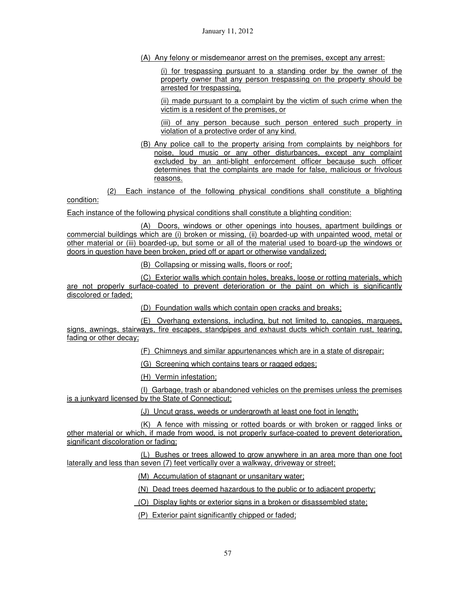(A) Any felony or misdemeanor arrest on the premises, except any arrest:

(i) for trespassing pursuant to a standing order by the owner of the property owner that any person trespassing on the property should be arrested for trespassing,

(ii) made pursuant to a complaint by the victim of such crime when the victim is a resident of the premises, or

(iii) of any person because such person entered such property in violation of a protective order of any kind.

(B) Any police call to the property arising from complaints by neighbors for noise, loud music or any other disturbances, except any complaint excluded by an anti-blight enforcement officer because such officer determines that the complaints are made for false, malicious or frivolous reasons.

(2) Each instance of the following physical conditions shall constitute a blighting

condition:

Each instance of the following physical conditions shall constitute a blighting condition:

(A) Doors, windows or other openings into houses, apartment buildings or commercial buildings which are (i) broken or missing, (ii) boarded-up with unpainted wood, metal or other material or (iii) boarded-up, but some or all of the material used to board-up the windows or doors in question have been broken, pried off or apart or otherwise vandalized;

(B) Collapsing or missing walls, floors or roof;

(C) Exterior walls which contain holes, breaks, loose or rotting materials, which are not properly surface-coated to prevent deterioration or the paint on which is significantly discolored or faded;

(D) Foundation walls which contain open cracks and breaks;

(E) Overhang extensions, including, but not limited to, canopies, marquees, signs, awnings, stairways, fire escapes, standpipes and exhaust ducts which contain rust, tearing, fading or other decay;

(F) Chimneys and similar appurtenances which are in a state of disrepair;

(G) Screening which contains tears or ragged edges;

(H) Vermin infestation;

(I) Garbage, trash or abandoned vehicles on the premises unless the premises is a junkyard licensed by the State of Connecticut;

(J) Uncut grass, weeds or undergrowth at least one foot in length;

(K) A fence with missing or rotted boards or with broken or ragged links or other material or which, if made from wood, is not properly surface-coated to prevent deterioration, significant discoloration or fading;

(L) Bushes or trees allowed to grow anywhere in an area more than one foot laterally and less than seven (7) feet vertically over a walkway, driveway or street;

(M) Accumulation of stagnant or unsanitary water;

(N) Dead trees deemed hazardous to the public or to adjacent property;

(O) Display lights or exterior signs in a broken or disassembled state;

(P) Exterior paint significantly chipped or faded;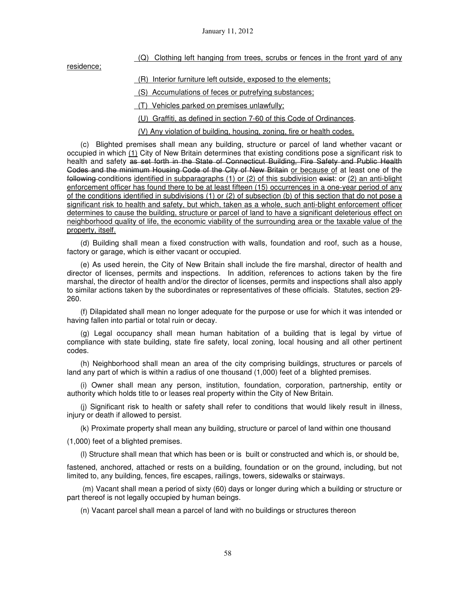## (Q) Clothing left hanging from trees, scrubs or fences in the front yard of any

residence;

(R) Interior furniture left outside, exposed to the elements;

(S) Accumulations of feces or putrefying substances;

(T) Vehicles parked on premises unlawfully;

(U) Graffiti, as defined in section 7-60 of this Code of Ordinances.

(V) Any violation of building, housing, zoning, fire or health codes.

 (c) Blighted premises shall mean any building, structure or parcel of land whether vacant or occupied in which (1) City of New Britain determines that existing conditions pose a significant risk to health and safety as set forth in the State of Connecticut Building, Fire Safety and Public Health Codes and the minimum Housing Code of the City of New Britain or because of at least one of the following conditions identified in subparagraphs (1) or (2) of this subdivision exist: or (2) an anti-blight enforcement officer has found there to be at least fifteen (15) occurrences in a one-year period of any of the conditions identified in subdivisions (1) or (2) of subsection (b) of this section that do not pose a significant risk to health and safety, but which, taken as a whole, such anti-blight enforcement officer determines to cause the building, structure or parcel of land to have a significant deleterious effect on neighborhood quality of life, the economic viability of the surrounding area or the taxable value of the property, itself.

(d) Building shall mean a fixed construction with walls, foundation and roof, such as a house, factory or garage, which is either vacant or occupied.

(e) As used herein, the City of New Britain shall include the fire marshal, director of health and director of licenses, permits and inspections. In addition, references to actions taken by the fire marshal, the director of health and/or the director of licenses, permits and inspections shall also apply to similar actions taken by the subordinates or representatives of these officials. Statutes, section 29- 260.

(f) Dilapidated shall mean no longer adequate for the purpose or use for which it was intended or having fallen into partial or total ruin or decay.

(g) Legal occupancy shall mean human habitation of a building that is legal by virtue of compliance with state building, state fire safety, local zoning, local housing and all other pertinent codes.

(h) Neighborhood shall mean an area of the city comprising buildings, structures or parcels of land any part of which is within a radius of one thousand (1,000) feet of a blighted premises.

(i) Owner shall mean any person, institution, foundation, corporation, partnership, entity or authority which holds title to or leases real property within the City of New Britain.

(j) Significant risk to health or safety shall refer to conditions that would likely result in illness, injury or death if allowed to persist.

(k) Proximate property shall mean any building, structure or parcel of land within one thousand

(1,000) feet of a blighted premises.

(l) Structure shall mean that which has been or is built or constructed and which is, or should be,

fastened, anchored, attached or rests on a building, foundation or on the ground, including, but not limited to, any building, fences, fire escapes, railings, towers, sidewalks or stairways.

 (m) Vacant shall mean a period of sixty (60) days or longer during which a building or structure or part thereof is not legally occupied by human beings.

(n) Vacant parcel shall mean a parcel of land with no buildings or structures thereon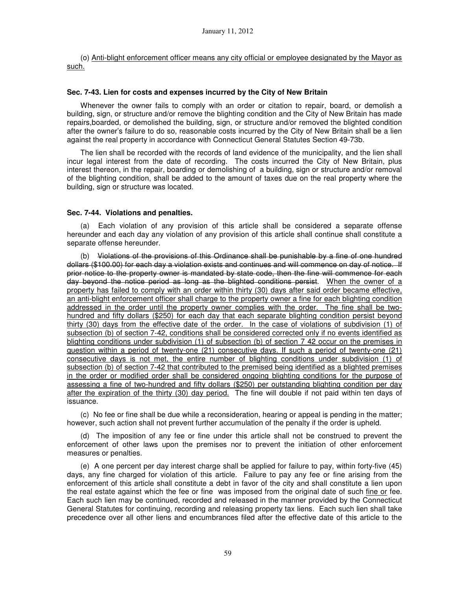(o) Anti-blight enforcement officer means any city official or employee designated by the Mayor as such.

### **Sec. 7-43. Lien for costs and expenses incurred by the City of New Britain**

 Whenever the owner fails to comply with an order or citation to repair, board, or demolish a building, sign, or structure and/or remove the blighting condition and the City of New Britain has made repairs,boarded, or demolished the building, sign, or structure and/or removed the blighted condition after the owner's failure to do so, reasonable costs incurred by the City of New Britain shall be a lien against the real property in accordance with Connecticut General Statutes Section 49-73b.

 The lien shall be recorded with the records of land evidence of the municipality, and the lien shall incur legal interest from the date of recording. The costs incurred the City of New Britain, plus interest thereon, in the repair, boarding or demolishing of a building, sign or structure and/or removal of the blighting condition, shall be added to the amount of taxes due on the real property where the building, sign or structure was located.

#### **Sec. 7-44. Violations and penalties.**

 (a) Each violation of any provision of this article shall be considered a separate offense hereunder and each day any violation of any provision of this article shall continue shall constitute a separate offense hereunder.

 (b) Violations of the provisions of this Ordinance shall be punishable by a fine of one hundred dollars (\$100.00) for each day a violation exists and continues and will commence on day of notice. If prior notice to the property owner is mandated by state code, then the fine will commence for each day beyond the notice period as long as the blighted conditions persist. When the owner of a property has failed to comply with an order within thirty (30) days after said order became effective, an anti-blight enforcement officer shall charge to the property owner a fine for each blighting condition addressed in the order until the property owner complies with the order. The fine shall be twohundred and fifty dollars (\$250) for each day that each separate blighting condition persist beyond thirty (30) days from the effective date of the order. In the case of violations of subdivision (1) of subsection (b) of section 7-42, conditions shall be considered corrected only if no events identified as blighting conditions under subdivision (1) of subsection (b) of section 7 42 occur on the premises in question within a period of twenty-one (21) consecutive days. If such a period of twenty-one (21) consecutive days is not met, the entire number of blighting conditions under subdivision (1) of subsection (b) of section 7-42 that contributed to the premised being identified as a blighted premises in the order or modified order shall be considered ongoing blighting conditions for the purpose of assessing a fine of two-hundred and fifty dollars (\$250) per outstanding blighting condition per day after the expiration of the thirty (30) day period. The fine will double if not paid within ten days of issuance.

 (c) No fee or fine shall be due while a reconsideration, hearing or appeal is pending in the matter; however, such action shall not prevent further accumulation of the penalty if the order is upheld.

 (d) The imposition of any fee or fine under this article shall not be construed to prevent the enforcement of other laws upon the premises nor to prevent the initiation of other enforcement measures or penalties.

 (e) A one percent per day interest charge shall be applied for failure to pay, within forty-five (45) days, any fine charged for violation of this article. Failure to pay any fee or fine arising from the enforcement of this article shall constitute a debt in favor of the city and shall constitute a lien upon the real estate against which the fee or fine was imposed from the original date of such fine or fee. Each such lien may be continued, recorded and released in the manner provided by the Connecticut General Statutes for continuing, recording and releasing property tax liens. Each such lien shall take precedence over all other liens and encumbrances filed after the effective date of this article to the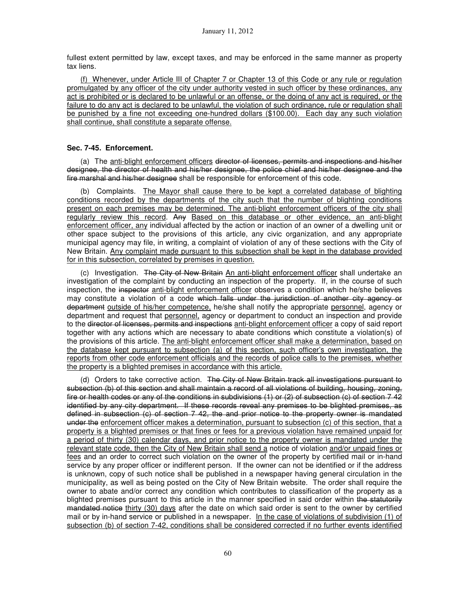fullest extent permitted by law, except taxes, and may be enforced in the same manner as property tax liens.

 (f) Whenever, under Article III of Chapter 7 or Chapter 13 of this Code or any rule or regulation promulgated by any officer of the city under authority vested in such officer by these ordinances, any act is prohibited or is declared to be unlawful or an offense, or the doing of any act is required, or the failure to do any act is declared to be unlawful, the violation of such ordinance, rule or regulation shall be punished by a fine not exceeding one-hundred dollars (\$100.00). Each day any such violation shall continue, shall constitute a separate offense.

## **Sec. 7-45. Enforcement.**

(a) The anti-blight enforcement officers director of licenses, permits and inspections and his/her designee, the director of health and his/her designee, the police chief and his/her designee and the fire marshal and his/her designee shall be responsible for enforcement of this code.

 (b) Complaints. The Mayor shall cause there to be kept a correlated database of blighting conditions recorded by the departments of the city such that the number of blighting conditions present on each premises may be determined. The anti-blight enforcement officers of the city shall regularly review this record. Any Based on this database or other evidence, an anti-blight enforcement officer, any individual affected by the action or inaction of an owner of a dwelling unit or other space subject to the provisions of this article, any civic organization, and any appropriate municipal agency may file, in writing, a complaint of violation of any of these sections with the City of New Britain. Any complaint made pursuant to this subsection shall be kept in the database provided for in this subsection, correlated by premises in question.

 (c) Investigation. The City of New Britain An anti-blight enforcement officer shall undertake an investigation of the complaint by conducting an inspection of the property. If, in the course of such inspection, the inspector anti-blight enforcement officer observes a condition which he/she believes may constitute a violation of a code which falls under the jurisdiction of another city agency or department outside of his/her competence, he/she shall notify the appropriate personnel, agency or department and request that personnel, agency or department to conduct an inspection and provide to the <del>director of licenses, permits and inspections</del> anti-blight enforcement officer a copy of said report together with any actions which are necessary to abate conditions which constitute a violation(s) of the provisions of this article. The anti-blight enforcement officer shall make a determination, based on the database kept pursuant to subsection (a) of this section, such officer's own investigation, the reports from other code enforcement officials and the records of police calls to the premises, whether the property is a blighted premises in accordance with this article.

(d) Orders to take corrective action. The City of New Britain track all investigations pursuant to subsection (b) of this section and shall maintain a record of all violations of building, housing, zoning, fire or health codes or any of the conditions in subdivisions (1) or (2) of subsection (c) of section 7 42 identified by any city department. If these records reveal any premises to be blighted premises, as defined in subsection (c) of section 7 42, the and prior notice to the property owner is mandated under the enforcement officer makes a determination, pursuant to subsection (c) of this section, that a property is a blighted premises or that fines or fees for a previous violation have remained unpaid for a period of thirty (30) calendar days, and prior notice to the property owner is mandated under the relevant state code, then the City of New Britain shall send a notice of violation and/or unpaid fines or fees and an order to correct such violation on the owner of the property by certified mail or in-hand service by any proper officer or indifferent person. If the owner can not be identified or if the address is unknown, copy of such notice shall be published in a newspaper having general circulation in the municipality, as well as being posted on the City of New Britain website. The order shall require the owner to abate and/or correct any condition which contributes to classification of the property as a blighted premises pursuant to this article in the manner specified in said order within the statutorily mandated notice thirty (30) days after the date on which said order is sent to the owner by certified mail or by in-hand service or published in a newspaper. In the case of violations of subdivision (1) of subsection (b) of section 7-42, conditions shall be considered corrected if no further events identified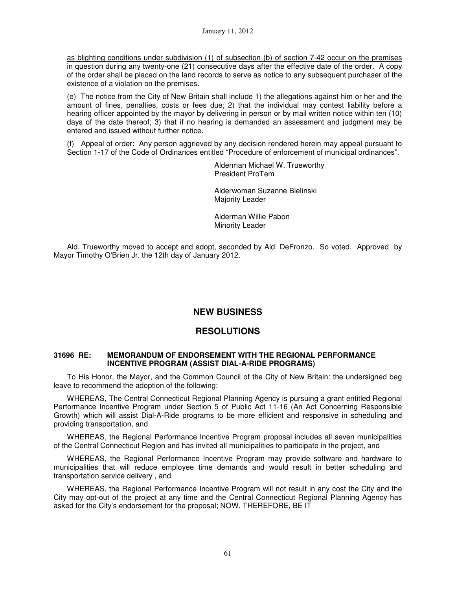as blighting conditions under subdivision (1) of subsection (b) of section 7-42 occur on the premises in question during any twenty-one (21) consecutive days after the effective date of the order. A copy of the order shall be placed on the land records to serve as notice to any subsequent purchaser of the existence of a violation on the premises.

(e) The notice from the City of New Britain shall include 1) the allegations against him or her and the amount of fines, penalties, costs or fees due; 2) that the individual may contest liability before a hearing officer appointed by the mayor by delivering in person or by mail written notice within ten (10) days of the date thereof; 3) that if no hearing is demanded an assessment and judgment may be entered and issued without further notice.

(f) Appeal of order: Any person aggrieved by any decision rendered herein may appeal pursuant to Section 1-17 of the Code of Ordinances entitled "Procedure of enforcement of municipal ordinances".

> Alderman Michael W. Trueworthy President ProTem

Alderwoman Suzanne Bielinski Majority Leader

Alderman Willie Pabon Minority Leader

Ald. Trueworthy moved to accept and adopt, seconded by Ald. DeFronzo. So voted. Approved by Mayor Timothy O'Brien Jr. the 12th day of January 2012.

# **NEW BUSINESS**

# **RESOLUTIONS**

## **31696 RE: MEMORANDUM OF ENDORSEMENT WITH THE REGIONAL PERFORMANCE INCENTIVE PROGRAM (ASSIST DIAL-A-RIDE PROGRAMS)**

To His Honor, the Mayor, and the Common Council of the City of New Britain: the undersigned beg leave to recommend the adoption of the following:

WHEREAS, The Central Connecticut Regional Planning Agency is pursuing a grant entitled Regional Performance Incentive Program under Section 5 of Public Act 11-16 (An Act Concerning Responsible Growth) which will assist Dial-A-Ride programs to be more efficient and responsive in scheduling and providing transportation, and

WHEREAS, the Regional Performance Incentive Program proposal includes all seven municipalities of the Central Connecticut Region and has invited all municipalities to participate in the project, and

WHEREAS, the Regional Performance Incentive Program may provide software and hardware to municipalities that will reduce employee time demands and would result in better scheduling and transportation service delivery , and

WHEREAS, the Regional Performance Incentive Program will not result in any cost the City and the City may opt-out of the project at any time and the Central Connecticut Regional Planning Agency has asked for the City's endorsement for the proposal; NOW, THEREFORE, BE IT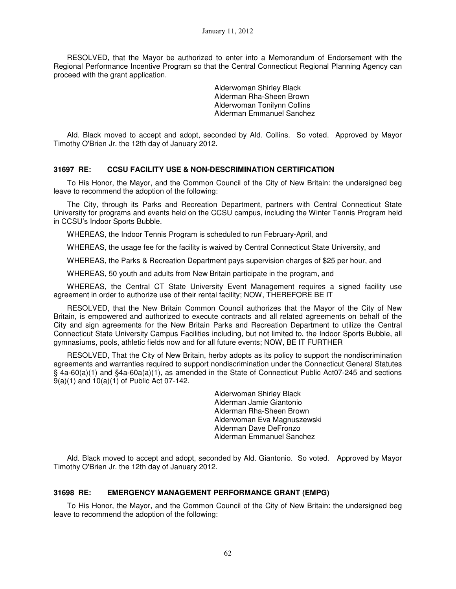RESOLVED, that the Mayor be authorized to enter into a Memorandum of Endorsement with the Regional Performance Incentive Program so that the Central Connecticut Regional Planning Agency can proceed with the grant application.

> Alderwoman Shirley Black Alderman Rha-Sheen Brown Alderwoman Tonilynn Collins Alderman Emmanuel Sanchez

Ald. Black moved to accept and adopt, seconded by Ald. Collins. So voted. Approved by Mayor Timothy O'Brien Jr. the 12th day of January 2012.

## **31697 RE: CCSU FACILITY USE & NON-DESCRIMINATION CERTIFICATION**

To His Honor, the Mayor, and the Common Council of the City of New Britain: the undersigned beg leave to recommend the adoption of the following:

The City, through its Parks and Recreation Department, partners with Central Connecticut State University for programs and events held on the CCSU campus, including the Winter Tennis Program held in CCSU's Indoor Sports Bubble.

WHEREAS, the Indoor Tennis Program is scheduled to run February-April, and

WHEREAS, the usage fee for the facility is waived by Central Connecticut State University, and

WHEREAS, the Parks & Recreation Department pays supervision charges of \$25 per hour, and

WHEREAS, 50 youth and adults from New Britain participate in the program, and

WHEREAS, the Central CT State University Event Management requires a signed facility use agreement in order to authorize use of their rental facility; NOW, THEREFORE BE IT

RESOLVED, that the New Britain Common Council authorizes that the Mayor of the City of New Britain, is empowered and authorized to execute contracts and all related agreements on behalf of the City and sign agreements for the New Britain Parks and Recreation Department to utilize the Central Connecticut State University Campus Facilities including, but not limited to, the Indoor Sports Bubble, all gymnasiums, pools, athletic fields now and for all future events; NOW, BE IT FURTHER

RESOLVED, That the City of New Britain, herby adopts as its policy to support the nondiscrimination agreements and warranties required to support nondiscrimination under the Connecticut General Statutes § 4a-60(a)(1) and §4a-60a(a)(1), as amended in the State of Connecticut Public Act07-245 and sections 9(a)(1) and 10(a)(1) of Public Act 07-142.

> Alderwoman Shirley Black Alderman Jamie Giantonio Alderman Rha-Sheen Brown Alderwoman Eva Magnuszewski Alderman Dave DeFronzo Alderman Emmanuel Sanchez

Ald. Black moved to accept and adopt, seconded by Ald. Giantonio. So voted. Approved by Mayor Timothy O'Brien Jr. the 12th day of January 2012.

#### **31698 RE: EMERGENCY MANAGEMENT PERFORMANCE GRANT (EMPG)**

To His Honor, the Mayor, and the Common Council of the City of New Britain: the undersigned beg leave to recommend the adoption of the following: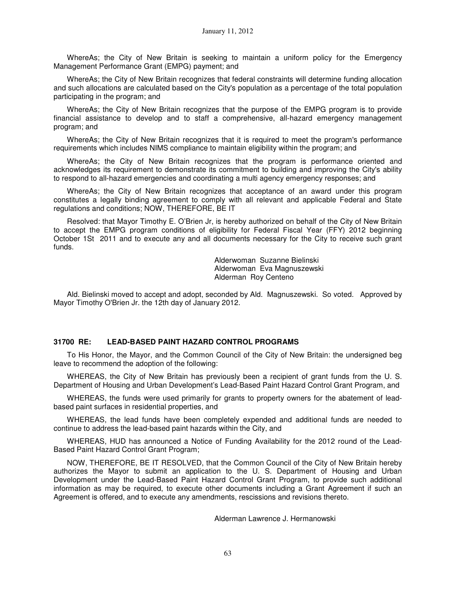WhereAs; the City of New Britain is seeking to maintain a uniform policy for the Emergency Management Performance Grant (EMPG) payment; and

WhereAs; the City of New Britain recognizes that federal constraints will determine funding allocation and such allocations are calculated based on the City's population as a percentage of the total population participating in the program; and

WhereAs; the City of New Britain recognizes that the purpose of the EMPG program is to provide financial assistance to develop and to staff a comprehensive, all-hazard emergency management program; and

WhereAs; the City of New Britain recognizes that it is required to meet the program's performance requirements which includes NIMS compliance to maintain eligibility within the program; and

WhereAs; the City of New Britain recognizes that the program is performance oriented and acknowledges its requirement to demonstrate its commitment to building and improving the City's ability to respond to all-hazard emergencies and coordinating a multi agency emergency responses; and

WhereAs; the City of New Britain recognizes that acceptance of an award under this program constitutes a legally binding agreement to comply with all relevant and applicable Federal and State regulations and conditions; NOW, THEREFORE, BE IT

Resolved: that Mayor Timothy E. O'Brien Jr, is hereby authorized on behalf of the City of New Britain to accept the EMPG program conditions of eligibility for Federal Fiscal Year (FFY) 2012 beginning October 1St 2011 and to execute any and all documents necessary for the City to receive such grant funds.

> Alderwoman Suzanne Bielinski Alderwoman Eva Magnuszewski Alderman Roy Centeno

Ald. Bielinski moved to accept and adopt, seconded by Ald. Magnuszewski. So voted. Approved by Mayor Timothy O'Brien Jr. the 12th day of January 2012.

#### **31700 RE: LEAD-BASED PAINT HAZARD CONTROL PROGRAMS**

To His Honor, the Mayor, and the Common Council of the City of New Britain: the undersigned beg leave to recommend the adoption of the following:

WHEREAS, the City of New Britain has previously been a recipient of grant funds from the U. S. Department of Housing and Urban Development's Lead-Based Paint Hazard Control Grant Program, and

WHEREAS, the funds were used primarily for grants to property owners for the abatement of leadbased paint surfaces in residential properties, and

WHEREAS, the lead funds have been completely expended and additional funds are needed to continue to address the lead-based paint hazards within the City, and

WHEREAS, HUD has announced a Notice of Funding Availability for the 2012 round of the Lead-Based Paint Hazard Control Grant Program;

NOW, THEREFORE, BE IT RESOLVED, that the Common Council of the City of New Britain hereby authorizes the Mayor to submit an application to the U. S. Department of Housing and Urban Development under the Lead-Based Paint Hazard Control Grant Program, to provide such additional information as may be required, to execute other documents including a Grant Agreement if such an Agreement is offered, and to execute any amendments, rescissions and revisions thereto.

Alderman Lawrence J. Hermanowski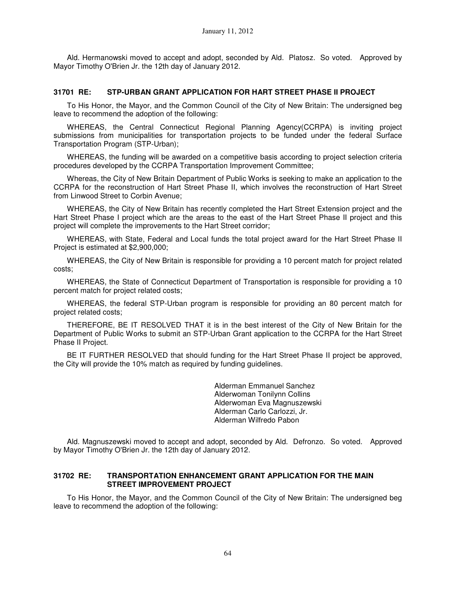Ald. Hermanowski moved to accept and adopt, seconded by Ald. Platosz. So voted. Approved by Mayor Timothy O'Brien Jr. the 12th day of January 2012.

## **31701 RE: STP-URBAN GRANT APPLICATION FOR HART STREET PHASE II PROJECT**

To His Honor, the Mayor, and the Common Council of the City of New Britain: The undersigned beg leave to recommend the adoption of the following:

WHEREAS, the Central Connecticut Regional Planning Agency(CCRPA) is inviting project submissions from municipalities for transportation projects to be funded under the federal Surface Transportation Program (STP-Urban);

WHEREAS, the funding will be awarded on a competitive basis according to project selection criteria procedures developed by the CCRPA Transportation Improvement Committee;

Whereas, the City of New Britain Department of Public Works is seeking to make an application to the CCRPA for the reconstruction of Hart Street Phase II, which involves the reconstruction of Hart Street from Linwood Street to Corbin Avenue;

WHEREAS, the City of New Britain has recently completed the Hart Street Extension project and the Hart Street Phase I project which are the areas to the east of the Hart Street Phase II project and this project will complete the improvements to the Hart Street corridor;

WHEREAS, with State, Federal and Local funds the total project award for the Hart Street Phase II Project is estimated at \$2,900,000;

WHEREAS, the City of New Britain is responsible for providing a 10 percent match for project related costs;

WHEREAS, the State of Connecticut Department of Transportation is responsible for providing a 10 percent match for project related costs;

WHEREAS, the federal STP-Urban program is responsible for providing an 80 percent match for project related costs;

THEREFORE, BE IT RESOLVED THAT it is in the best interest of the City of New Britain for the Department of Public Works to submit an STP-Urban Grant application to the CCRPA for the Hart Street Phase II Project.

BE IT FURTHER RESOLVED that should funding for the Hart Street Phase II project be approved, the City will provide the 10% match as required by funding guidelines.

> Alderman Emmanuel Sanchez Alderwoman Tonilynn Collins Alderwoman Eva Magnuszewski Alderman Carlo Carlozzi, Jr. Alderman Wilfredo Pabon

Ald. Magnuszewski moved to accept and adopt, seconded by Ald. Defronzo. So voted. Approved by Mayor Timothy O'Brien Jr. the 12th day of January 2012.

#### **31702 RE: TRANSPORTATION ENHANCEMENT GRANT APPLICATION FOR THE MAIN STREET IMPROVEMENT PROJECT**

To His Honor, the Mayor, and the Common Council of the City of New Britain: The undersigned beg leave to recommend the adoption of the following: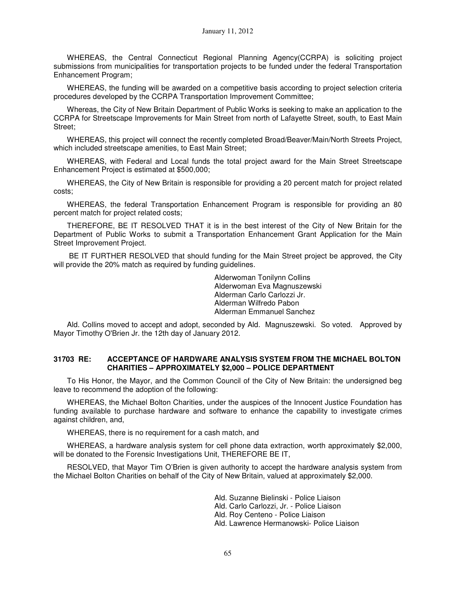WHEREAS, the Central Connecticut Regional Planning Agency(CCRPA) is soliciting project submissions from municipalities for transportation projects to be funded under the federal Transportation Enhancement Program;

WHEREAS, the funding will be awarded on a competitive basis according to project selection criteria procedures developed by the CCRPA Transportation Improvement Committee;

Whereas, the City of New Britain Department of Public Works is seeking to make an application to the CCRPA for Streetscape Improvements for Main Street from north of Lafayette Street, south, to East Main Street;

WHEREAS, this project will connect the recently completed Broad/Beaver/Main/North Streets Project, which included streetscape amenities, to East Main Street;

WHEREAS, with Federal and Local funds the total project award for the Main Street Streetscape Enhancement Project is estimated at \$500,000;

WHEREAS, the City of New Britain is responsible for providing a 20 percent match for project related costs;

WHEREAS, the federal Transportation Enhancement Program is responsible for providing an 80 percent match for project related costs;

THEREFORE, BE IT RESOLVED THAT it is in the best interest of the City of New Britain for the Department of Public Works to submit a Transportation Enhancement Grant Application for the Main Street Improvement Project.

 BE IT FURTHER RESOLVED that should funding for the Main Street project be approved, the City will provide the 20% match as required by funding guidelines.

> Alderwoman Tonilynn Collins Alderwoman Eva Magnuszewski Alderman Carlo Carlozzi Jr. Alderman Wilfredo Pabon Alderman Emmanuel Sanchez

Ald. Collins moved to accept and adopt, seconded by Ald. Magnuszewski. So voted. Approved by Mayor Timothy O'Brien Jr. the 12th day of January 2012.

#### **31703 RE: ACCEPTANCE OF HARDWARE ANALYSIS SYSTEM FROM THE MICHAEL BOLTON CHARITIES – APPROXIMATELY \$2,000 – POLICE DEPARTMENT**

To His Honor, the Mayor, and the Common Council of the City of New Britain: the undersigned beg leave to recommend the adoption of the following:

WHEREAS, the Michael Bolton Charities, under the auspices of the Innocent Justice Foundation has funding available to purchase hardware and software to enhance the capability to investigate crimes against children, and,

WHEREAS, there is no requirement for a cash match, and

WHEREAS, a hardware analysis system for cell phone data extraction, worth approximately \$2,000, will be donated to the Forensic Investigations Unit, THEREFORE BE IT,

RESOLVED, that Mayor Tim O'Brien is given authority to accept the hardware analysis system from the Michael Bolton Charities on behalf of the City of New Britain, valued at approximately \$2,000.

> Ald. Suzanne Bielinski - Police Liaison Ald. Carlo Carlozzi, Jr. - Police Liaison Ald. Roy Centeno - Police Liaison Ald. Lawrence Hermanowski- Police Liaison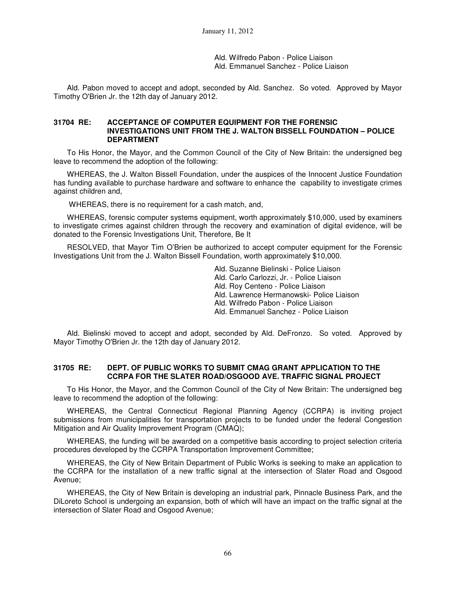Ald. Wilfredo Pabon - Police Liaison Ald. Emmanuel Sanchez - Police Liaison

Ald. Pabon moved to accept and adopt, seconded by Ald. Sanchez. So voted. Approved by Mayor Timothy O'Brien Jr. the 12th day of January 2012.

#### **31704 RE: ACCEPTANCE OF COMPUTER EQUIPMENT FOR THE FORENSIC INVESTIGATIONS UNIT FROM THE J. WALTON BISSELL FOUNDATION – POLICE DEPARTMENT**

To His Honor, the Mayor, and the Common Council of the City of New Britain: the undersigned beg leave to recommend the adoption of the following:

WHEREAS, the J. Walton Bissell Foundation, under the auspices of the Innocent Justice Foundation has funding available to purchase hardware and software to enhance the capability to investigate crimes against children and,

WHEREAS, there is no requirement for a cash match, and,

WHEREAS, forensic computer systems equipment, worth approximately \$10,000, used by examiners to investigate crimes against children through the recovery and examination of digital evidence, will be donated to the Forensic Investigations Unit, Therefore, Be It

RESOLVED, that Mayor Tim O'Brien be authorized to accept computer equipment for the Forensic Investigations Unit from the J. Walton Bissell Foundation, worth approximately \$10,000.

> Ald. Suzanne Bielinski - Police Liaison Ald. Carlo Carlozzi, Jr. - Police Liaison Ald. Roy Centeno - Police Liaison Ald. Lawrence Hermanowski- Police Liaison Ald. Wilfredo Pabon - Police Liaison Ald. Emmanuel Sanchez - Police Liaison

Ald. Bielinski moved to accept and adopt, seconded by Ald. DeFronzo. So voted. Approved by Mayor Timothy O'Brien Jr. the 12th day of January 2012.

## **31705 RE: DEPT. OF PUBLIC WORKS TO SUBMIT CMAG GRANT APPLICATION TO THE CCRPA FOR THE SLATER ROAD/OSGOOD AVE. TRAFFIC SIGNAL PROJECT**

To His Honor, the Mayor, and the Common Council of the City of New Britain: The undersigned beg leave to recommend the adoption of the following:

WHEREAS, the Central Connecticut Regional Planning Agency (CCRPA) is inviting project submissions from municipalities for transportation projects to be funded under the federal Congestion Mitigation and Air Quality Improvement Program (CMAQ);

WHEREAS, the funding will be awarded on a competitive basis according to project selection criteria procedures developed by the CCRPA Transportation Improvement Committee;

WHEREAS, the City of New Britain Department of Public Works is seeking to make an application to the CCRPA for the installation of a new traffic signal at the intersection of Slater Road and Osgood Avenue;

WHEREAS, the City of New Britain is developing an industrial park, Pinnacle Business Park, and the DiLoreto School is undergoing an expansion, both of which will have an impact on the traffic signal at the intersection of Slater Road and Osgood Avenue;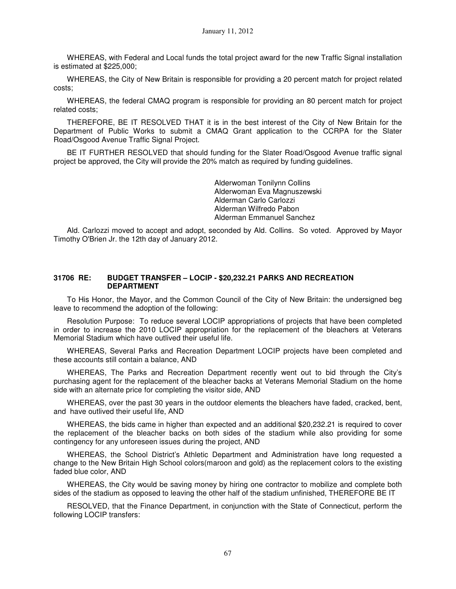WHEREAS, with Federal and Local funds the total project award for the new Traffic Signal installation is estimated at \$225,000;

WHEREAS, the City of New Britain is responsible for providing a 20 percent match for project related costs;

WHEREAS, the federal CMAQ program is responsible for providing an 80 percent match for project related costs;

THEREFORE, BE IT RESOLVED THAT it is in the best interest of the City of New Britain for the Department of Public Works to submit a CMAQ Grant application to the CCRPA for the Slater Road/Osgood Avenue Traffic Signal Project.

BE IT FURTHER RESOLVED that should funding for the Slater Road/Osgood Avenue traffic signal project be approved, the City will provide the 20% match as required by funding guidelines.

> Alderwoman Tonilynn Collins Alderwoman Eva Magnuszewski Alderman Carlo Carlozzi Alderman Wilfredo Pabon Alderman Emmanuel Sanchez

Ald. Carlozzi moved to accept and adopt, seconded by Ald. Collins. So voted. Approved by Mayor Timothy O'Brien Jr. the 12th day of January 2012.

#### **31706 RE: BUDGET TRANSFER – LOCIP - \$20,232.21 PARKS AND RECREATION DEPARTMENT**

To His Honor, the Mayor, and the Common Council of the City of New Britain: the undersigned beg leave to recommend the adoption of the following:

Resolution Purpose: To reduce several LOCIP appropriations of projects that have been completed in order to increase the 2010 LOCIP appropriation for the replacement of the bleachers at Veterans Memorial Stadium which have outlived their useful life.

WHEREAS, Several Parks and Recreation Department LOCIP projects have been completed and these accounts still contain a balance, AND

WHEREAS, The Parks and Recreation Department recently went out to bid through the City's purchasing agent for the replacement of the bleacher backs at Veterans Memorial Stadium on the home side with an alternate price for completing the visitor side, AND

WHEREAS, over the past 30 years in the outdoor elements the bleachers have faded, cracked, bent, and have outlived their useful life, AND

WHEREAS, the bids came in higher than expected and an additional \$20,232.21 is required to cover the replacement of the bleacher backs on both sides of the stadium while also providing for some contingency for any unforeseen issues during the project, AND

WHEREAS, the School District's Athletic Department and Administration have long requested a change to the New Britain High School colors(maroon and gold) as the replacement colors to the existing faded blue color, AND

WHEREAS, the City would be saving money by hiring one contractor to mobilize and complete both sides of the stadium as opposed to leaving the other half of the stadium unfinished, THEREFORE BE IT

RESOLVED, that the Finance Department, in conjunction with the State of Connecticut, perform the following LOCIP transfers: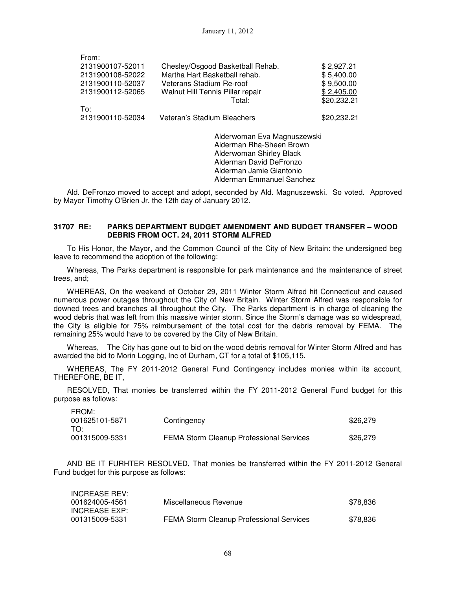| From:            |                                            |                           |
|------------------|--------------------------------------------|---------------------------|
| 2131900107-52011 | Chesley/Osgood Basketball Rehab.           | \$2,927.21                |
| 2131900108-52022 | Martha Hart Basketball rehab.              | \$5,400.00                |
| 2131900110-52037 | Veterans Stadium Re-roof                   | \$9,500.00                |
| 2131900112-52065 | Walnut Hill Tennis Pillar repair<br>Total: | \$2,405.00<br>\$20,232.21 |
| To:              |                                            |                           |
| 2131900110-52034 | Veteran's Stadium Bleachers                | \$20,232.21               |
|                  |                                            |                           |

Alderwoman Eva Magnuszewski Alderman Rha-Sheen Brown Alderwoman Shirley Black Alderman David DeFronzo Alderman Jamie Giantonio Alderman Emmanuel Sanchez

Ald. DeFronzo moved to accept and adopt, seconded by Ald. Magnuszewski. So voted. Approved by Mayor Timothy O'Brien Jr. the 12th day of January 2012.

## **31707 RE: PARKS DEPARTMENT BUDGET AMENDMENT AND BUDGET TRANSFER – WOOD DEBRIS FROM OCT. 24, 2011 STORM ALFRED**

To His Honor, the Mayor, and the Common Council of the City of New Britain: the undersigned beg leave to recommend the adoption of the following:

Whereas, The Parks department is responsible for park maintenance and the maintenance of street trees, and;

WHEREAS, On the weekend of October 29, 2011 Winter Storm Alfred hit Connecticut and caused numerous power outages throughout the City of New Britain. Winter Storm Alfred was responsible for downed trees and branches all throughout the City. The Parks department is in charge of cleaning the wood debris that was left from this massive winter storm. Since the Storm's damage was so widespread, the City is eligible for 75% reimbursement of the total cost for the debris removal by FEMA. The remaining 25% would have to be covered by the City of New Britain.

Whereas, The City has gone out to bid on the wood debris removal for Winter Storm Alfred and has awarded the bid to Morin Logging, Inc of Durham, CT for a total of \$105,115.

WHEREAS, The FY 2011-2012 General Fund Contingency includes monies within its account, THEREFORE, BE IT,

RESOLVED, That monies be transferred within the FY 2011-2012 General Fund budget for this purpose as follows:

| FROM:<br>001625101-5871<br>TO: | Contingency                                     | \$26,279 |
|--------------------------------|-------------------------------------------------|----------|
| 001315009-5331                 | <b>FEMA Storm Cleanup Professional Services</b> | \$26,279 |

AND BE IT FURHTER RESOLVED, That monies be transferred within the FY 2011-2012 General Fund budget for this purpose as follows:

| <b>INCREASE REV:</b> |                                                 |          |
|----------------------|-------------------------------------------------|----------|
| 001624005-4561       | Miscellaneous Revenue                           | \$78.836 |
| INCREASE EXP:        |                                                 |          |
| 001315009-5331       | <b>FEMA Storm Cleanup Professional Services</b> | \$78.836 |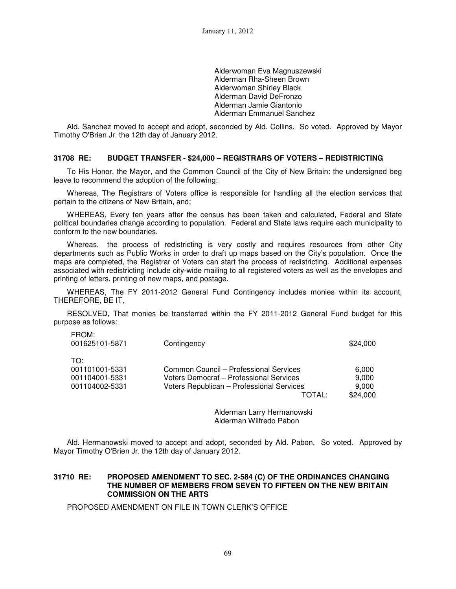Alderwoman Eva Magnuszewski Alderman Rha-Sheen Brown Alderwoman Shirley Black Alderman David DeFronzo Alderman Jamie Giantonio Alderman Emmanuel Sanchez

Ald. Sanchez moved to accept and adopt, seconded by Ald. Collins. So voted. Approved by Mayor Timothy O'Brien Jr. the 12th day of January 2012.

#### **31708 RE: BUDGET TRANSFER - \$24,000 – REGISTRARS OF VOTERS – REDISTRICTING**

To His Honor, the Mayor, and the Common Council of the City of New Britain: the undersigned beg leave to recommend the adoption of the following:

Whereas, The Registrars of Voters office is responsible for handling all the election services that pertain to the citizens of New Britain, and;

WHEREAS, Every ten years after the census has been taken and calculated, Federal and State political boundaries change according to population. Federal and State laws require each municipality to conform to the new boundaries.

Whereas, the process of redistricting is very costly and requires resources from other City departments such as Public Works in order to draft up maps based on the City's population. Once the maps are completed, the Registrar of Voters can start the process of redistricting. Additional expenses associated with redistricting include city-wide mailing to all registered voters as well as the envelopes and printing of letters, printing of new maps, and postage.

WHEREAS, The FY 2011-2012 General Fund Contingency includes monies within its account, THEREFORE, BE IT,

RESOLVED, That monies be transferred within the FY 2011-2012 General Fund budget for this purpose as follows:

| <b>FRUM:</b><br>001625101-5871 | Contingency                               | \$24,000 |
|--------------------------------|-------------------------------------------|----------|
| TO:                            |                                           |          |
| 001101001-5331                 | Common Council – Professional Services    | 6.000    |
| 001104001-5331                 | Voters Democrat - Professional Services   | 9.000    |
| 001104002-5331                 | Voters Republican - Professional Services | 9.000    |
|                                | TOTAL:                                    | \$24,000 |
|                                |                                           |          |

Alderman Larry Hermanowski Alderman Wilfredo Pabon

Ald. Hermanowski moved to accept and adopt, seconded by Ald. Pabon. So voted. Approved by Mayor Timothy O'Brien Jr. the 12th day of January 2012.

#### **31710 RE: PROPOSED AMENDMENT TO SEC. 2-584 (C) OF THE ORDINANCES CHANGING THE NUMBER OF MEMBERS FROM SEVEN TO FIFTEEN ON THE NEW BRITAIN COMMISSION ON THE ARTS**

PROPOSED AMENDMENT ON FILE IN TOWN CLERK'S OFFICE

FROM: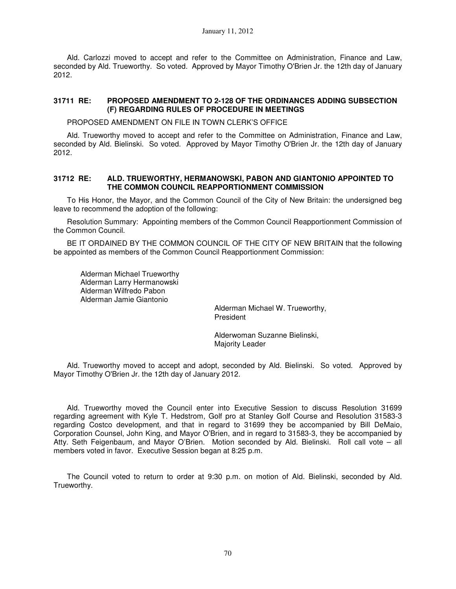Ald. Carlozzi moved to accept and refer to the Committee on Administration, Finance and Law, seconded by Ald. Trueworthy. So voted. Approved by Mayor Timothy O'Brien Jr. the 12th day of January 2012.

## **31711 RE: PROPOSED AMENDMENT TO 2-128 OF THE ORDINANCES ADDING SUBSECTION (F) REGARDING RULES OF PROCEDURE IN MEETINGS**

PROPOSED AMENDMENT ON FILE IN TOWN CLERK'S OFFICE

Ald. Trueworthy moved to accept and refer to the Committee on Administration, Finance and Law, seconded by Ald. Bielinski. So voted. Approved by Mayor Timothy O'Brien Jr. the 12th day of January 2012.

#### **31712 RE: ALD. TRUEWORTHY, HERMANOWSKI, PABON AND GIANTONIO APPOINTED TO THE COMMON COUNCIL REAPPORTIONMENT COMMISSION**

To His Honor, the Mayor, and the Common Council of the City of New Britain: the undersigned beg leave to recommend the adoption of the following:

Resolution Summary: Appointing members of the Common Council Reapportionment Commission of the Common Council.

BE IT ORDAINED BY THE COMMON COUNCIL OF THE CITY OF NEW BRITAIN that the following be appointed as members of the Common Council Reapportionment Commission:

 Alderman Michael Trueworthy Alderman Larry Hermanowski Alderman Wilfredo Pabon Alderman Jamie Giantonio

> Alderman Michael W. Trueworthy, President

 Alderwoman Suzanne Bielinski, Majority Leader

Ald. Trueworthy moved to accept and adopt, seconded by Ald. Bielinski. So voted. Approved by Mayor Timothy O'Brien Jr. the 12th day of January 2012.

Ald. Trueworthy moved the Council enter into Executive Session to discuss Resolution 31699 regarding agreement with Kyle T. Hedstrom, Golf pro at Stanley Golf Course and Resolution 31583-3 regarding Costco development, and that in regard to 31699 they be accompanied by Bill DeMaio, Corporation Counsel, John King, and Mayor O'Brien, and in regard to 31583-3, they be accompanied by Atty. Seth Feigenbaum, and Mayor O'Brien. Motion seconded by Ald. Bielinski. Roll call vote – all members voted in favor. Executive Session began at 8:25 p.m.

The Council voted to return to order at 9:30 p.m. on motion of Ald. Bielinski, seconded by Ald. Trueworthy.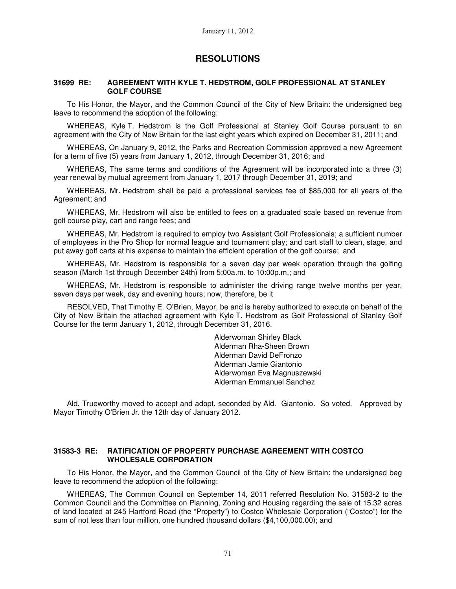## **RESOLUTIONS**

#### **31699 RE: AGREEMENT WITH KYLE T. HEDSTROM, GOLF PROFESSIONAL AT STANLEY GOLF COURSE**

To His Honor, the Mayor, and the Common Council of the City of New Britain: the undersigned beg leave to recommend the adoption of the following:

WHEREAS, Kyle T. Hedstrom is the Golf Professional at Stanley Golf Course pursuant to an agreement with the City of New Britain for the last eight years which expired on December 31, 2011; and

WHEREAS, On January 9, 2012, the Parks and Recreation Commission approved a new Agreement for a term of five (5) years from January 1, 2012, through December 31, 2016; and

WHEREAS, The same terms and conditions of the Agreement will be incorporated into a three (3) year renewal by mutual agreement from January 1, 2017 through December 31, 2019; and

WHEREAS, Mr. Hedstrom shall be paid a professional services fee of \$85,000 for all years of the Agreement; and

WHEREAS, Mr. Hedstrom will also be entitled to fees on a graduated scale based on revenue from golf course play, cart and range fees; and

WHEREAS, Mr. Hedstrom is required to employ two Assistant Golf Professionals; a sufficient number of employees in the Pro Shop for normal league and tournament play; and cart staff to clean, stage, and put away golf carts at his expense to maintain the efficient operation of the golf course; and

WHEREAS, Mr. Hedstrom is responsible for a seven day per week operation through the golfing season (March 1st through December 24th) from 5:00a.m. to 10:00p.m.; and

WHEREAS, Mr. Hedstrom is responsible to administer the driving range twelve months per year, seven days per week, day and evening hours; now, therefore, be it

RESOLVED, That Timothy E. O'Brien, Mayor, be and is hereby authorized to execute on behalf of the City of New Britain the attached agreement with Kyle T. Hedstrom as Golf Professional of Stanley Golf Course for the term January 1, 2012, through December 31, 2016.

> Alderwoman Shirley Black Alderman Rha-Sheen Brown Alderman David DeFronzo Alderman Jamie Giantonio Alderwoman Eva Magnuszewski Alderman Emmanuel Sanchez

Ald. Trueworthy moved to accept and adopt, seconded by Ald. Giantonio. So voted. Approved by Mayor Timothy O'Brien Jr. the 12th day of January 2012.

## **31583-3 RE: RATIFICATION OF PROPERTY PURCHASE AGREEMENT WITH COSTCO WHOLESALE CORPORATION**

To His Honor, the Mayor, and the Common Council of the City of New Britain: the undersigned beg leave to recommend the adoption of the following:

WHEREAS, The Common Council on September 14, 2011 referred Resolution No. 31583-2 to the Common Council and the Committee on Planning, Zoning and Housing regarding the sale of 15.32 acres of land located at 245 Hartford Road (the "Property") to Costco Wholesale Corporation ("Costco") for the sum of not less than four million, one hundred thousand dollars (\$4,100,000.00); and